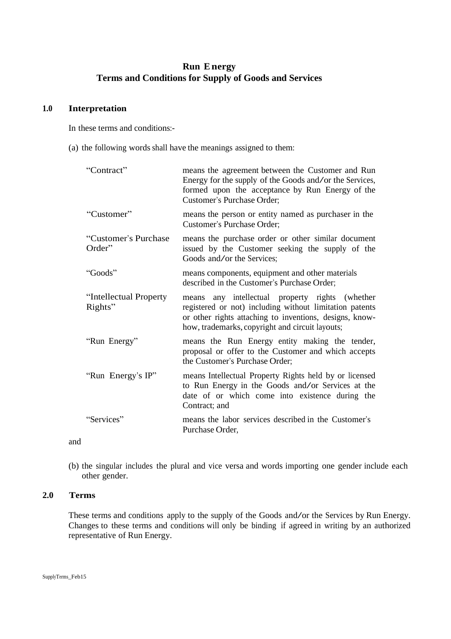# **Run Energy Terms and Conditions for Supply of Goods and Services**

#### **1.0 Interpretation**

In these terms and conditions:-

(a) the following wordsshall have the meanings assigned to them:

| "Contract"                        | means the agreement between the Customer and Run<br>Energy for the supply of the Goods and/or the Services,<br>formed upon the acceptance by Run Energy of the<br>Customer's Purchase Order;                             |
|-----------------------------------|--------------------------------------------------------------------------------------------------------------------------------------------------------------------------------------------------------------------------|
| "Customer"                        | means the person or entity named as purchaser in the<br><b>Customer's Purchase Order:</b>                                                                                                                                |
| "Customer's Purchase<br>Order"    | means the purchase order or other similar document<br>issued by the Customer seeking the supply of the<br>Goods and/or the Services;                                                                                     |
| "Goods"                           | means components, equipment and other materials<br>described in the Customer's Purchase Order;                                                                                                                           |
| "Intellectual Property<br>Rights" | means any intellectual property rights (whether<br>registered or not) including without limitation patents<br>or other rights attaching to inventions, designs, know-<br>how, trademarks, copyright and circuit layouts; |
| "Run Energy"                      | means the Run Energy entity making the tender,<br>proposal or offer to the Customer and which accepts<br>the Customer's Purchase Order;                                                                                  |
| "Run Energy's IP"                 | means Intellectual Property Rights held by or licensed<br>to Run Energy in the Goods and/or Services at the<br>date of or which come into existence during the<br>Contract; and                                          |
| "Services"                        | means the labor services described in the Customer's<br>Purchase Order,                                                                                                                                                  |

- and
- (b) the singular includes the plural and vice versa and words importing one gender include each other gender.

# **2.0 Terms**

These terms and conditions apply to the supply of the Goods and/or the Services by Run Energy. Changes to these terms and conditions will only be binding if agreed in writing by an authorized representative of Run Energy.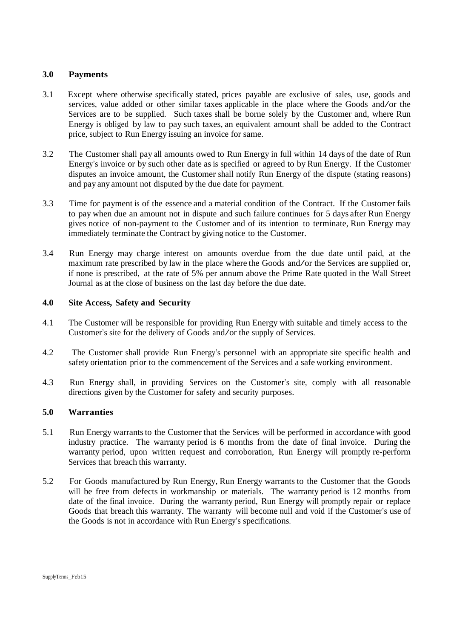#### **3.0 Payments**

- 3.1 Except where otherwise specifically stated, prices payable are exclusive of sales, use, goods and services, value added or other similar taxes applicable in the place where the Goods and/or the Services are to be supplied. Such taxes shall be borne solely by the Customer and, where Run Energy is obliged by law to pay such taxes, an equivalent amount shall be added to the Contract price, subject to Run Energy issuing an invoice for same.
- 3.2 The Customer shall pay all amounts owed to Run Energy in full within 14 days of the date of Run Energy's invoice or by such other date as is specified or agreed to by Run Energy. If the Customer disputes an invoice amount, the Customer shall notify Run Energy of the dispute (stating reasons) and pay any amount not disputed by the due date for payment.
- 3.3 Time for payment is of the essence and a material condition of the Contract. If the Customer fails to pay when due an amount not in dispute and such failure continues for 5 days after Run Energy gives notice of non-payment to the Customer and of its intention to terminate, Run Energy may immediately terminate the Contract by giving notice to the Customer.
- 3.4 Run Energy may charge interest on amounts overdue from the due date until paid, at the maximum rate prescribed by law in the place where the Goods and/or the Services are supplied or, if none is prescribed, at the rate of 5% per annum above the Prime Rate quoted in the Wall Street Journal as at the close of business on the last day before the due date.

# **4.0 Site Access, Safety and Security**

- 4.1 The Customer will be responsible for providing Run Energy with suitable and timely access to the Customer's site for the delivery of Goods and/or the supply of Services.
- 4.2 The Customer shall provide Run Energy's personnel with an appropriate site specific health and safety orientation prior to the commencement of the Services and a safe working environment.
- 4.3 Run Energy shall, in providing Services on the Customer's site, comply with all reasonable directions given by the Customer for safety and security purposes.

# **5.0 Warranties**

- 5.1 Run Energy warrants to the Customer that the Services will be performed in accordance with good industry practice. The warranty period is 6 months from the date of final invoice. During the warranty period, upon written request and corroboration, Run Energy will promptly re-perform Services that breach this warranty.
- 5.2 For Goods manufactured by Run Energy, Run Energy warrants to the Customer that the Goods will be free from defects in workmanship or materials. The warranty period is 12 months from date of the final invoice. During the warranty period, Run Energy will promptly repair or replace Goods that breach this warranty. The warranty will become null and void if the Customer's use of the Goods is not in accordance with Run Energy's specifications.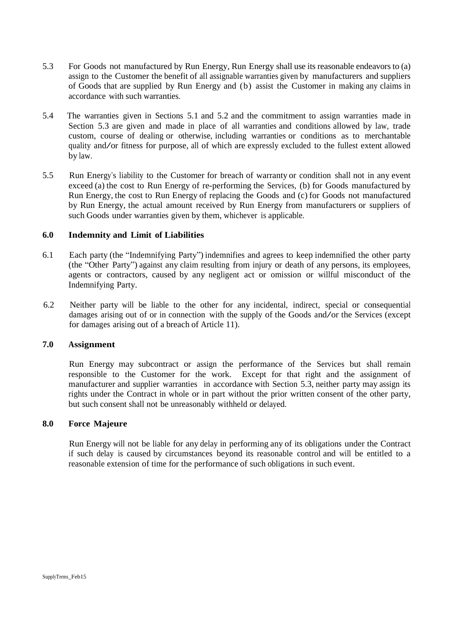- 5.3 For Goods not manufactured by Run Energy, Run Energy shall use its reasonable endeavors to (a) assign to the Customer the benefit of all assignable warranties given by manufacturers and suppliers of Goods that are supplied by Run Energy and (b) assist the Customer in making any claims in accordance with such warranties.
- 5.4 The warranties given in Sections 5.1 and 5.2 and the commitment to assign warranties made in Section 5.3 are given and made in place of all warranties and conditions allowed by law, trade custom, course of dealing or otherwise, including warranties or conditions as to merchantable quality and/or fitness for purpose, all of which are expressly excluded to the fullest extent allowed by law.
- 5.5 Run Energy's liability to the Customer for breach of warranty or condition shall not in any event exceed (a) the cost to Run Energy of re-performing the Services, (b) for Goods manufactured by Run Energy, the cost to Run Energy of replacing the Goods and (c) for Goods not manufactured by Run Energy, the actual amount received by Run Energy from manufacturers or suppliers of such Goods under warranties given by them, whichever is applicable.

#### **6.0 Indemnity and Limit of Liabilities**

- 6.1 Each party (the "Indemnifying Party") indemnifies and agrees to keep indemnified the other party (the "Other Party") against any claim resulting from injury or death of any persons, its employees, agents or contractors, caused by any negligent act or omission or willful misconduct of the Indemnifying Party.
- 6.2 Neither party will be liable to the other for any incidental, indirect, special or consequential damages arising out of or in connection with the supply of the Goods and/or the Services (except for damages arising out of a breach of Article 11).

# **7.0 Assignment**

Run Energy may subcontract or assign the performance of the Services but shall remain responsible to the Customer for the work. Except for that right and the assignment of manufacturer and supplier warranties in accordance with Section 5.3, neither party may assign its rights under the Contract in whole or in part without the prior written consent of the other party, but such consent shall not be unreasonably withheld or delayed.

#### **8.0 Force Majeure**

Run Energy will not be liable for any delay in performing any of its obligations under the Contract if such delay is caused by circumstances beyond its reasonable control and will be entitled to a reasonable extension of time for the performance of such obligations in such event.